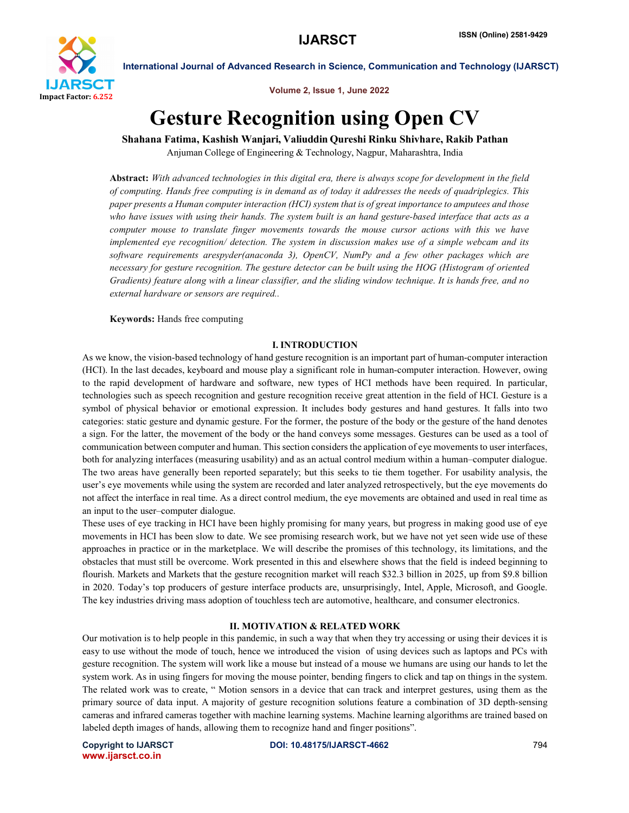

Volume 2, Issue 1, June 2022

# Gesture Recognition using Open CV

Shahana Fatima, Kashish Wanjari, Valiuddin Qureshi Rinku Shivhare, Rakib Pathan Anjuman College of Engineering & Technology, Nagpur, Maharashtra, India

Abstract: *With advanced technologies in this digital era, there is always scope for development in the field of computing. Hands free computing is in demand as of today it addresses the needs of quadriplegics. This paper presents a Human computer interaction (HCI) system that is of great importance to amputees and those who have issues with using their hands. The system built is an hand gesture-based interface that acts as a computer mouse to translate finger movements towards the mouse cursor actions with this we have implemented eye recognition/ detection. The system in discussion makes use of a simple webcam and its software requirements arespyder(anaconda 3), OpenCV, NumPy and a few other packages which are necessary for gesture recognition. The gesture detector can be built using the HOG (Histogram of oriented Gradients) feature along with a linear classifier, and the sliding window technique. It is hands free, and no external hardware or sensors are required..*

Keywords: Hands free computing

### I. INTRODUCTION

As we know, the vision-based technology of hand gesture recognition is an important part of human-computer interaction (HCI). In the last decades, keyboard and mouse play a significant role in human-computer interaction. However, owing to the rapid development of hardware and software, new types of HCI methods have been required. In particular, technologies such as speech recognition and gesture recognition receive great attention in the field of HCI. Gesture is a symbol of physical behavior or emotional expression. It includes body gestures and hand gestures. It falls into two categories: static gesture and dynamic gesture. For the former, the posture of the body or the gesture of the hand denotes a sign. For the latter, the movement of the body or the hand conveys some messages. Gestures can be used as a tool of communication between computer and human. This section considers the application of eye movements to user interfaces, both for analyzing interfaces (measuring usability) and as an actual control medium within a human–computer dialogue. The two areas have generally been reported separately; but this seeks to tie them together. For usability analysis, the user's eye movements while using the system are recorded and later analyzed retrospectively, but the eye movements do not affect the interface in real time. As a direct control medium, the eye movements are obtained and used in real time as an input to the user–computer dialogue.

These uses of eye tracking in HCI have been highly promising for many years, but progress in making good use of eye movements in HCI has been slow to date. We see promising research work, but we have not yet seen wide use of these approaches in practice or in the marketplace. We will describe the promises of this technology, its limitations, and the obstacles that must still be overcome. Work presented in this and elsewhere shows that the field is indeed beginning to flourish. Markets and Markets that the gesture recognition market will reach \$32.3 billion in 2025, up from \$9.8 billion in 2020. Today's top producers of gesture interface products are, unsurprisingly, Intel, Apple, Microsoft, and Google. The key industries driving mass adoption of touchless tech are automotive, healthcare, and consumer electronics.

### II. MOTIVATION & RELATED WORK

Our motivation is to help people in this pandemic, in such a way that when they try accessing or using their devices it is easy to use without the mode of touch, hence we introduced the vision of using devices such as laptops and PCs with gesture recognition. The system will work like a mouse but instead of a mouse we humans are using our hands to let the system work. As in using fingers for moving the mouse pointer, bending fingers to click and tap on things in the system. The related work was to create, " Motion sensors in a device that can track and interpret gestures, using them as the primary source of data input. A majority of gesture recognition solutions feature a combination of 3D depth-sensing cameras and infrared cameras together with machine learning systems. Machine learning algorithms are trained based on labeled depth images of hands, allowing them to recognize hand and finger positions".

www.ijarsct.co.in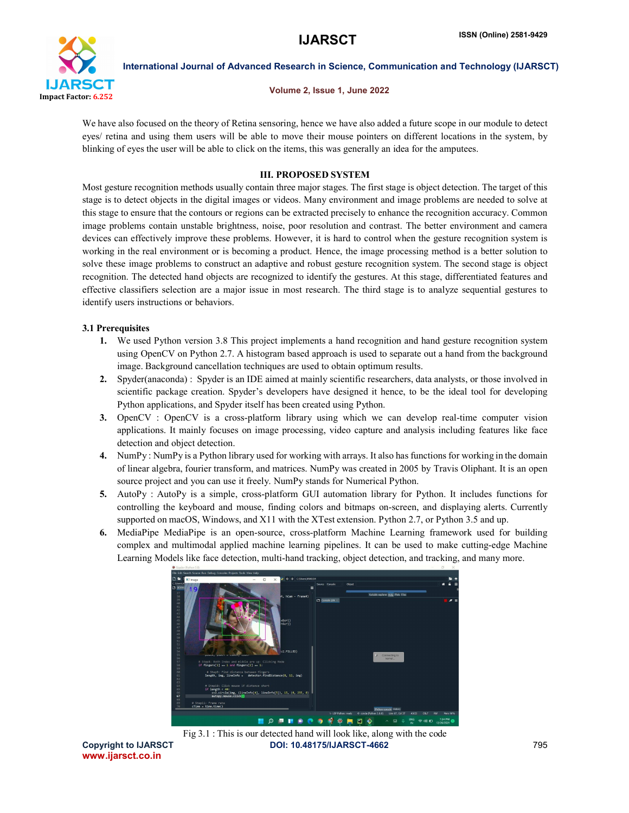

# Volume 2, Issue 1, June 2022

We have also focused on the theory of Retina sensoring, hence we have also added a future scope in our module to detect eyes/ retina and using them users will be able to move their mouse pointers on different locations in the system, by blinking of eyes the user will be able to click on the items, this was generally an idea for the amputees.

# III. PROPOSED SYSTEM

Most gesture recognition methods usually contain three major stages. The first stage is object detection. The target of this stage is to detect objects in the digital images or videos. Many environment and image problems are needed to solve at this stage to ensure that the contours or regions can be extracted precisely to enhance the recognition accuracy. Common image problems contain unstable brightness, noise, poor resolution and contrast. The better environment and camera devices can effectively improve these problems. However, it is hard to control when the gesture recognition system is working in the real environment or is becoming a product. Hence, the image processing method is a better solution to solve these image problems to construct an adaptive and robust gesture recognition system. The second stage is object recognition. The detected hand objects are recognized to identify the gestures. At this stage, differentiated features and effective classifiers selection are a major issue in most research. The third stage is to analyze sequential gestures to identify users instructions or behaviors.

# 3.1 Prerequisites

- 1. We used Python version 3.8 This project implements a hand recognition and hand gesture recognition system using OpenCV on Python 2.7. A histogram based approach is used to separate out a hand from the background image. Background cancellation techniques are used to obtain optimum results.
- 2. Spyder(anaconda) : Spyder is an IDE aimed at mainly scientific researchers, data analysts, or those involved in scientific package creation. Spyder's developers have designed it hence, to be the ideal tool for developing Python applications, and Spyder itself has been created using Python.
- 3. OpenCV : OpenCV is a cross-platform library using which we can develop real-time computer vision applications. It mainly focuses on image processing, video capture and analysis including features like face detection and object detection.
- 4. NumPy : NumPy is a Python library used for working with arrays. It also has functions for working in the domain of linear algebra, fourier transform, and matrices. NumPy was created in 2005 by Travis Oliphant. It is an open source project and you can use it freely. NumPy stands for Numerical Python.
- 5. AutoPy : AutoPy is a simple, cross-platform GUI automation library for Python. It includes functions for controlling the keyboard and mouse, finding colors and bitmaps on-screen, and displaying alerts. Currently supported on macOS, Windows, and X11 with the XTest extension. Python 2.7, or Python 3.5 and up.
- 6. MediaPipe MediaPipe is an open-source, cross-platform Machine Learning framework used for building complex and multimodal applied machine learning pipelines. It can be used to make cutting-edge Machine Learning Models like face detection, multi-hand tracking, object detection, and tracking, and many more.



Copyright to IJARSCT **DOI: 10.48175/IJARSCT-4662** 795 Fig 3.1 : This is our detected hand will look like, along with the code

www.ijarsct.co.in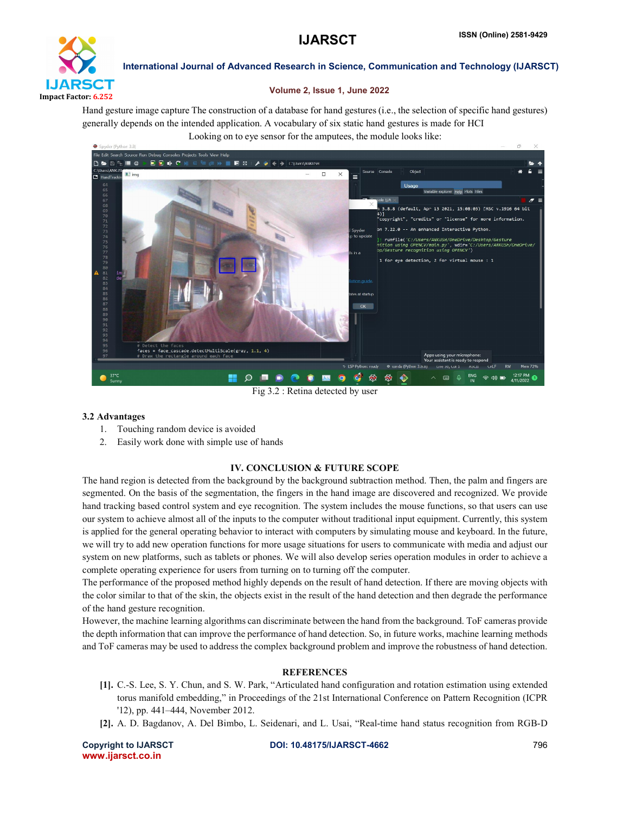

# Volume 2, Issue 1, June 2022

Hand gesture image capture The construction of a database for hand gestures (i.e., the selection of specific hand gestures) generally depends on the intended application. A vocabulary of six static hand gestures is made for HCI

Looking on to eye sensor for the amputees, the module looks like:



Fig 3.2 : Retina detected by user

# 3.2 Advantages

- 1. Touching random device is avoided
- 2. Easily work done with simple use of hands

# IV. CONCLUSION & FUTURE SCOPE

The hand region is detected from the background by the background subtraction method. Then, the palm and fingers are segmented. On the basis of the segmentation, the fingers in the hand image are discovered and recognized. We provide hand tracking based control system and eye recognition. The system includes the mouse functions, so that users can use our system to achieve almost all of the inputs to the computer without traditional input equipment. Currently, this system is applied for the general operating behavior to interact with computers by simulating mouse and keyboard. In the future, we will try to add new operation functions for more usage situations for users to communicate with media and adjust our system on new platforms, such as tablets or phones. We will also develop series operation modules in order to achieve a complete operating experience for users from turning on to turning off the computer.

The performance of the proposed method highly depends on the result of hand detection. If there are moving objects with the color similar to that of the skin, the objects exist in the result of the hand detection and then degrade the performance of the hand gesture recognition.

However, the machine learning algorithms can discriminate between the hand from the background. ToF cameras provide the depth information that can improve the performance of hand detection. So, in future works, machine learning methods and ToF cameras may be used to address the complex background problem and improve the robustness of hand detection.

# **REFERENCES**

- [1]. C.-S. Lee, S. Y. Chun, and S. W. Park, "Articulated hand configuration and rotation estimation using extended torus manifold embedding," in Proceedings of the 21st International Conference on Pattern Recognition (ICPR '12), pp. 441–444, November 2012.
- [2]. A. D. Bagdanov, A. Del Bimbo, L. Seidenari, and L. Usai, "Real-time hand status recognition from RGB-D

www.ijarsct.co.in